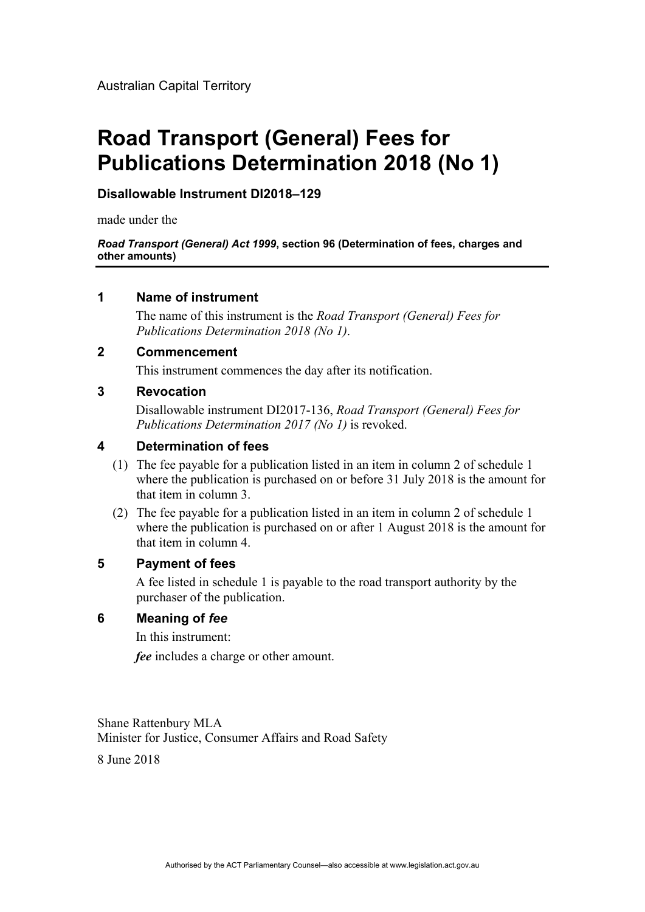# **Road Transport (General) Fees for Publications Determination 2018 (No 1)**

## **Disallowable Instrument DI2018–129**

made under the

*Road Transport (General) Act 1999***, section 96 (Determination of fees, charges and other amounts)** 

## **1 Name of instrument**

The name of this instrument is the *Road Transport (General) Fees for Publications Determination 2018 (No 1)*.

## **2 Commencement**

This instrument commences the day after its notification.

#### **3 Revocation**

Disallowable instrument DI2017-136, *Road Transport (General) Fees for Publications Determination 2017 (No 1)* is revoked.

# **4 Determination of fees**

- (1) The fee payable for a publication listed in an item in column 2 of schedule 1 where the publication is purchased on or before 31 July 2018 is the amount for that item in column 3.
- (2) The fee payable for a publication listed in an item in column 2 of schedule 1 where the publication is purchased on or after 1 August 2018 is the amount for that item in column 4.

#### **5 Payment of fees**

A fee listed in schedule 1 is payable to the road transport authority by the purchaser of the publication.

#### **6 Meaning of** *fee*

In this instrument:

*fee* includes a charge or other amount.

Shane Rattenbury MLA Minister for Justice, Consumer Affairs and Road Safety

8 June 2018